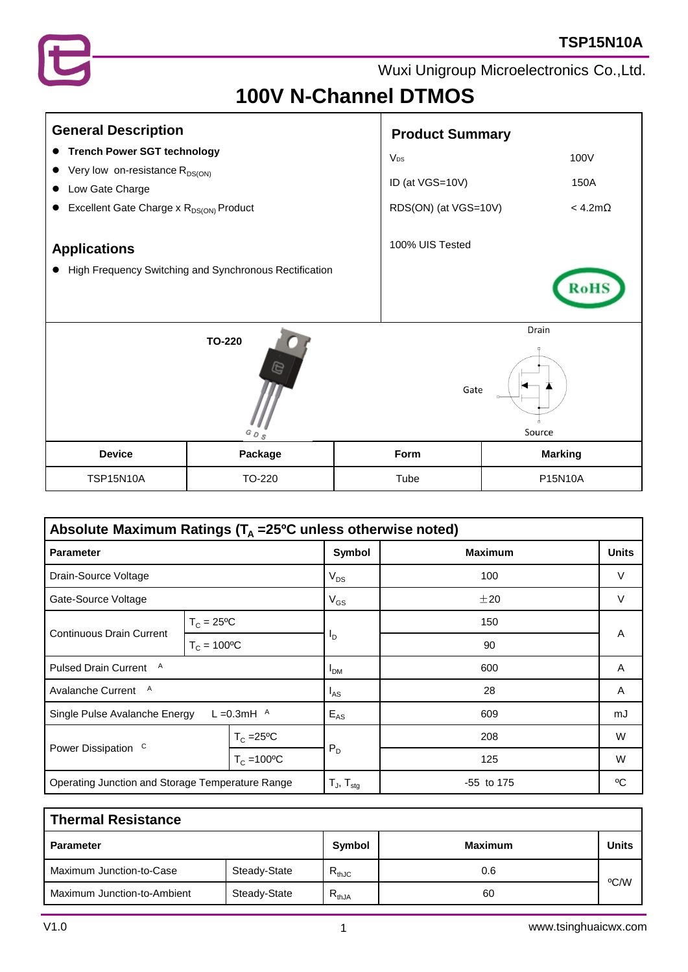

# **100V N-Channel DTMOS**

| <b>General Description</b>                                                 |         |                 | <b>Product Summary</b>         |                |                   |
|----------------------------------------------------------------------------|---------|-----------------|--------------------------------|----------------|-------------------|
| <b>Trench Power SGT technology</b><br>$\bullet$                            |         |                 | V <sub>ps</sub>                |                | 100V              |
| Very low on-resistance R <sub>DS(ON)</sub><br>Low Gate Charge<br>$\bullet$ |         | ID (at VGS=10V) |                                | 150A           |                   |
| Excellent Gate Charge x R <sub>DS(ON)</sub> Product                        |         |                 | RDS(ON) (at VGS=10V)           |                | $<$ 4.2m $\Omega$ |
| <b>Applications</b>                                                        |         |                 | 100% UIS Tested                |                |                   |
| High Frequency Switching and Synchronous Rectification<br>$\bullet$        |         |                 |                                |                |                   |
| TO-220<br>e<br>$^G\mathcal{O}$ $_{S}$                                      |         |                 | <b>Drain</b><br>Gate<br>Source |                |                   |
| <b>Device</b>                                                              | Package |                 | Form                           | <b>Marking</b> |                   |
| <b>TSP15N10A</b>                                                           | TO-220  |                 | Tube                           | P15N10A        |                   |

| Absolute Maximum Ratings ( $T_A$ =25 <sup>o</sup> C unless otherwise noted) |                      |                      |                            |                |              |
|-----------------------------------------------------------------------------|----------------------|----------------------|----------------------------|----------------|--------------|
| <b>Parameter</b>                                                            |                      |                      | Symbol                     | <b>Maximum</b> | <b>Units</b> |
| Drain-Source Voltage                                                        |                      | $V_{DS}$             | 100                        | V              |              |
| Gate-Source Voltage                                                         |                      | $V_{GS}$             | ±20                        | V              |              |
| <b>Continuous Drain Current</b>                                             | $T_c = 25^{\circ}C$  |                      | סי                         | 150            | A            |
|                                                                             | $T_c = 100^{\circ}C$ |                      |                            | 90             |              |
| <b>Pulsed Drain Current</b><br>A                                            |                      |                      | I <sub>DM</sub>            | 600            | Α            |
| A<br>Avalanche Current                                                      |                      | $I_{AS}$             | 28                         | A              |              |
| L = 0.3 mH $^{\circ}$<br>Single Pulse Avalanche Energy                      |                      | $E_{AS}$             | 609                        | mJ             |              |
| Power Dissipation <sup>C</sup>                                              |                      | $T_c = 25$ °C        |                            | 208            | W            |
|                                                                             |                      | $T_c = 100^{\circ}C$ | $P_D$                      | 125            | W            |
| Operating Junction and Storage Temperature Range                            |                      |                      | $T_{J}$ , $T_{\text{stg}}$ | $-55$ to 175   | °C           |

| <b>Thermal Resistance</b>   |              |            |                |              |  |  |
|-----------------------------|--------------|------------|----------------|--------------|--|--|
| <b>Parameter</b>            |              | Symbol     | <b>Maximum</b> | <b>Units</b> |  |  |
| Maximum Junction-to-Case    | Steady-State | $R_{thJC}$ | 0.6            | °C/W         |  |  |
| Maximum Junction-to-Ambient | Steady-State | $R_{thJA}$ | 60             |              |  |  |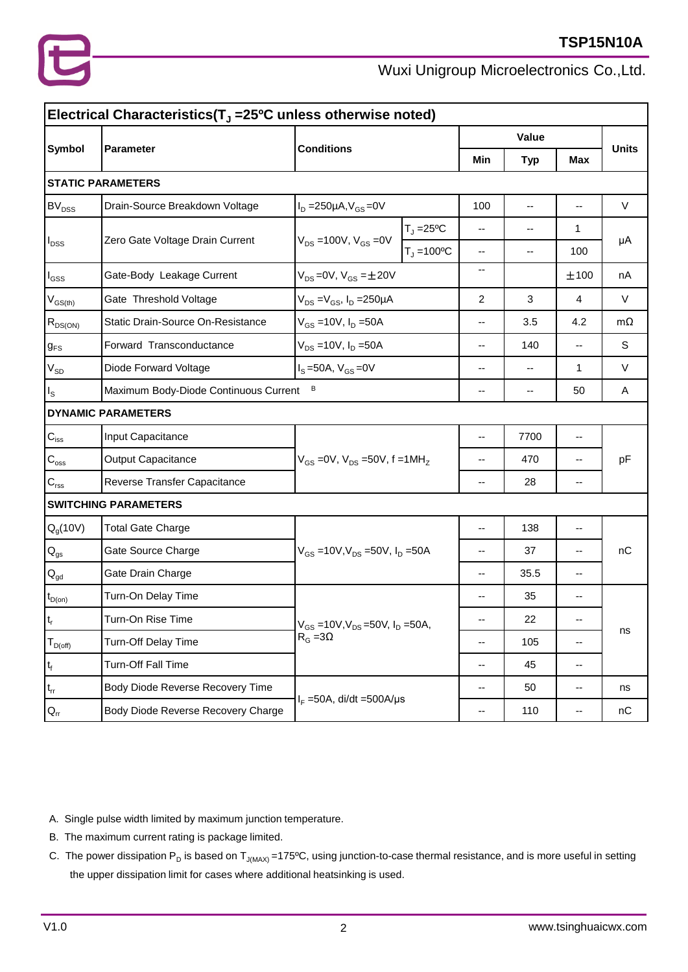

| Electrical Characteristics( $TJ$ =25 <sup>o</sup> C unless otherwise noted) |                                            |                                                              |                           |                          |                          |                          |              |
|-----------------------------------------------------------------------------|--------------------------------------------|--------------------------------------------------------------|---------------------------|--------------------------|--------------------------|--------------------------|--------------|
|                                                                             |                                            | <b>Conditions</b>                                            |                           | Value                    |                          |                          |              |
| <b>Symbol</b>                                                               | Parameter                                  |                                                              |                           | Min                      | <b>Typ</b>               | <b>Max</b>               | <b>Units</b> |
|                                                                             | <b>STATIC PARAMETERS</b>                   |                                                              |                           |                          |                          |                          |              |
| <b>BV<sub>DSS</sub></b>                                                     | Drain-Source Breakdown Voltage             | $I_D = 250 \mu A, V_{GS} = 0V$                               |                           | 100                      | $\overline{\phantom{a}}$ | $\overline{\phantom{a}}$ | $\vee$       |
|                                                                             |                                            | $V_{DS} = 100V, V_{GS} = 0V$                                 | $T_J = 25$ <sup>o</sup> C |                          | --                       | 1                        |              |
| $I_{DSS}$                                                                   | Zero Gate Voltage Drain Current            |                                                              | $T_1 = 100^{\circ}C$      | --                       | --                       | 100                      | μA           |
| $I_{GSS}$                                                                   | Gate-Body Leakage Current                  | $V_{DS} = 0V$ , $V_{GS} = \pm 20V$                           |                           | --                       |                          | ±100                     | nA           |
| $\rm V_{GS(th)}$                                                            | Gate Threshold Voltage                     | $V_{DS} = V_{GS}$ , $I_D = 250 \mu A$                        |                           | 2                        | 3                        | 4                        | $\vee$       |
| $R_{DS(ON)}$                                                                | Static Drain-Source On-Resistance          | $V_{GS} = 10V, I_D = 50A$                                    |                           | --                       | 3.5                      | 4.2                      | $m\Omega$    |
| $g_{FS}$                                                                    | Forward Transconductance                   | $V_{DS} = 10V, I_D = 50A$                                    |                           | --                       | 140                      | --                       | S            |
| $V_{SD}$                                                                    | Diode Forward Voltage                      | $I_S = 50A$ , $V_{GS} = 0V$                                  |                           | --                       | $-$                      | 1                        | V            |
| $I_{\rm S}$                                                                 | B<br>Maximum Body-Diode Continuous Current |                                                              |                           | --                       | --                       | 50                       | Α            |
|                                                                             | <b>DYNAMIC PARAMETERS</b>                  |                                                              |                           |                          |                          |                          |              |
| $\mathbf{C}_{\mathsf{iss}}$                                                 | Input Capacitance                          | $V_{GS}$ = 0V, $V_{DS}$ = 50V, f = 1MH <sub>z</sub>          |                           | $-$                      | 7700                     | --                       | pF           |
| $C_{\rm oss}$                                                               | Output Capacitance                         |                                                              |                           | --                       | 470                      | --                       |              |
| $\mathbf{C}_{\text{rss}}$                                                   | Reverse Transfer Capacitance               |                                                              |                           | $\overline{\phantom{a}}$ | 28                       | --                       |              |
|                                                                             | <b>SWITCHING PARAMETERS</b>                |                                                              |                           |                          |                          |                          |              |
| $Q_g(10V)$                                                                  | <b>Total Gate Charge</b>                   | $V_{GS}$ =10V, $V_{DS}$ =50V, $I_D$ =50A                     |                           | --                       | 138                      | --                       |              |
| $\mathsf{Q}_{\mathsf{gs}}$                                                  | Gate Source Charge                         |                                                              |                           | --                       | 37                       | --                       | nC           |
| $Q_{\rm gd}$                                                                | Gate Drain Charge                          |                                                              |                           | --                       | 35.5                     | --                       |              |
| $t_{D(0n)}$                                                                 | Turn-On Delay Time                         | $V_{GS}$ =10V, $V_{DS}$ =50V, $I_D$ =50A,<br>$R_G = 3\Omega$ |                           | --                       | 35                       | --                       |              |
| $ t_r $                                                                     | Turn-On Rise Time                          |                                                              |                           |                          | 22                       |                          | ns           |
| $T_{D(off)}$                                                                | Turn-Off Delay Time                        |                                                              |                           | --                       | 105                      | --                       |              |
| $t_f$                                                                       | Turn-Off Fall Time                         |                                                              |                           | --                       | 45                       | --                       |              |
| $\mathfrak{t}_{\text{rr}}$                                                  | Body Diode Reverse Recovery Time           |                                                              |                           | --                       | 50                       | --                       | ns           |
| $Q_{rr}$                                                                    | Body Diode Reverse Recovery Charge         | $I_F = 50A$ , di/dt = 500A/µs                                |                           | $\overline{\phantom{a}}$ | 110                      | --                       | nC           |

A. Single pulse width limited by maximum junction temperature.

- B. The maximum current rating is package limited.
- C. The power dissipation  $P_D$  is based on  $T_{J(MAX)} = 175^{\circ}$ C, using junction-to-case thermal resistance, and is more useful in setting the upper dissipation limit for cases where additional heatsinking is used.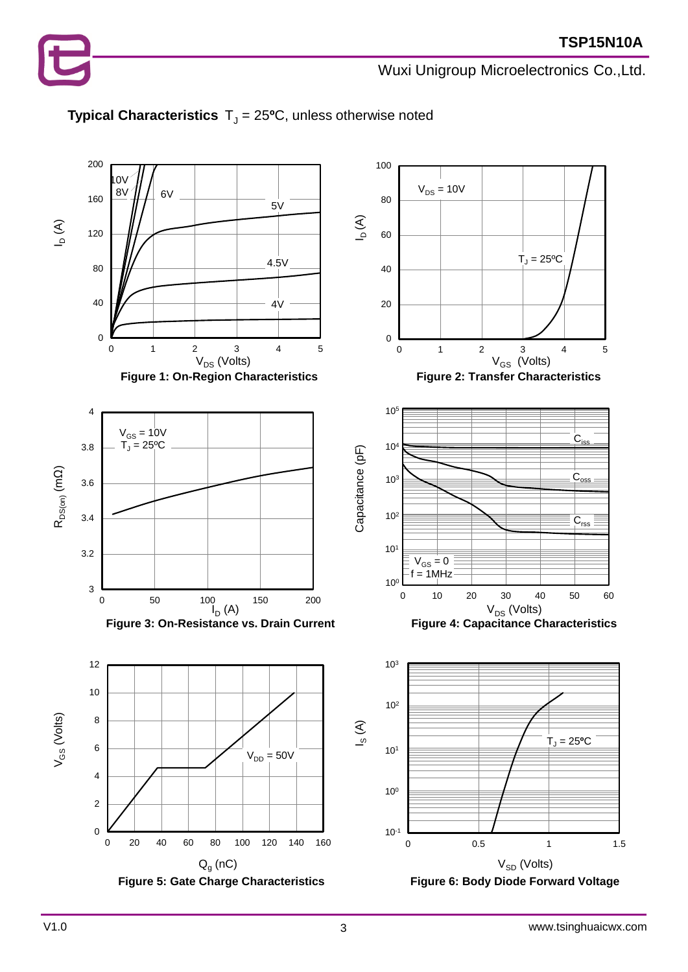



#### **Typical Characteristics**  $T_J = 25$ <sup>o</sup>C, unless otherwise noted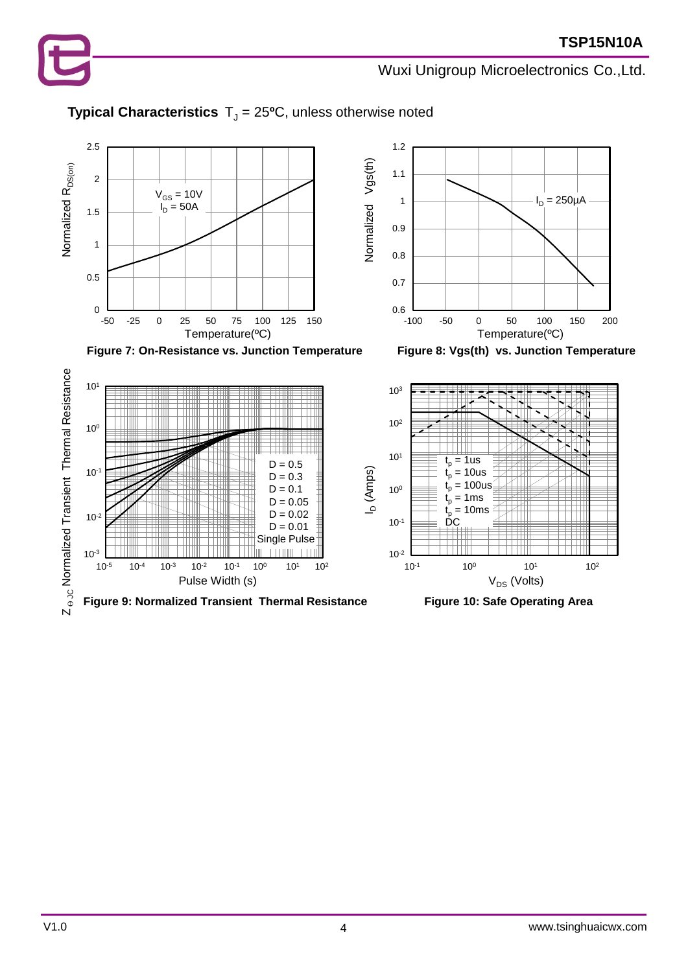

### **Typical Characteristics**  $T_J = 25$ <sup>o</sup>C, unless otherwise noted





Figure 7: On-Resistance vs. Junction Temperature Figure 8: Vgs(th) vs. Junction Temperature





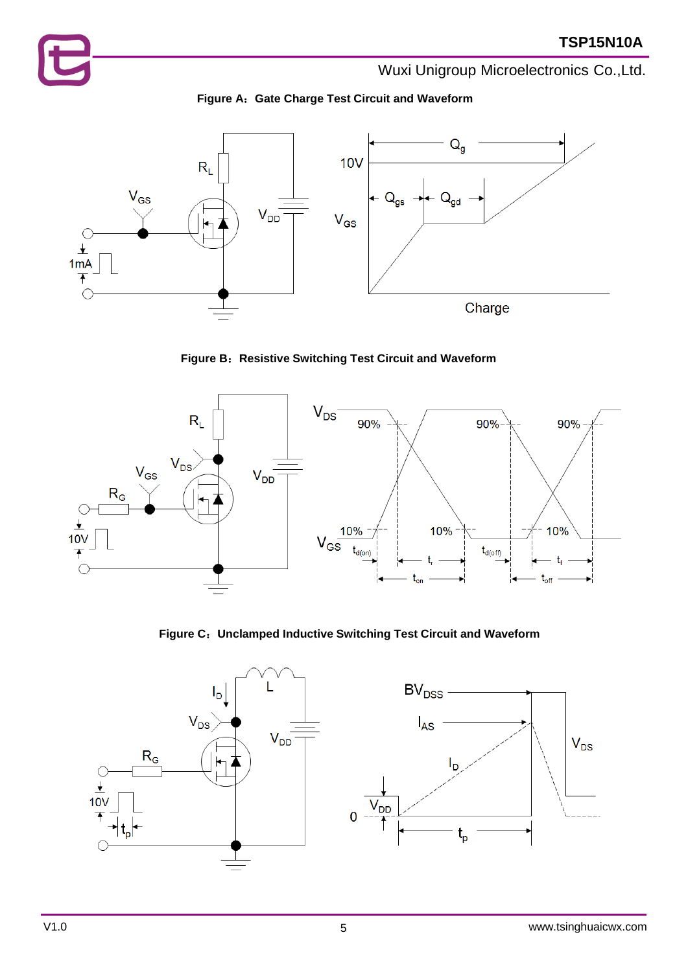



**Figure B**:**Resistive Switching Test Circuit and Waveform**



**Figure C**:**Unclamped Inductive Switching Test Circuit and Waveform**

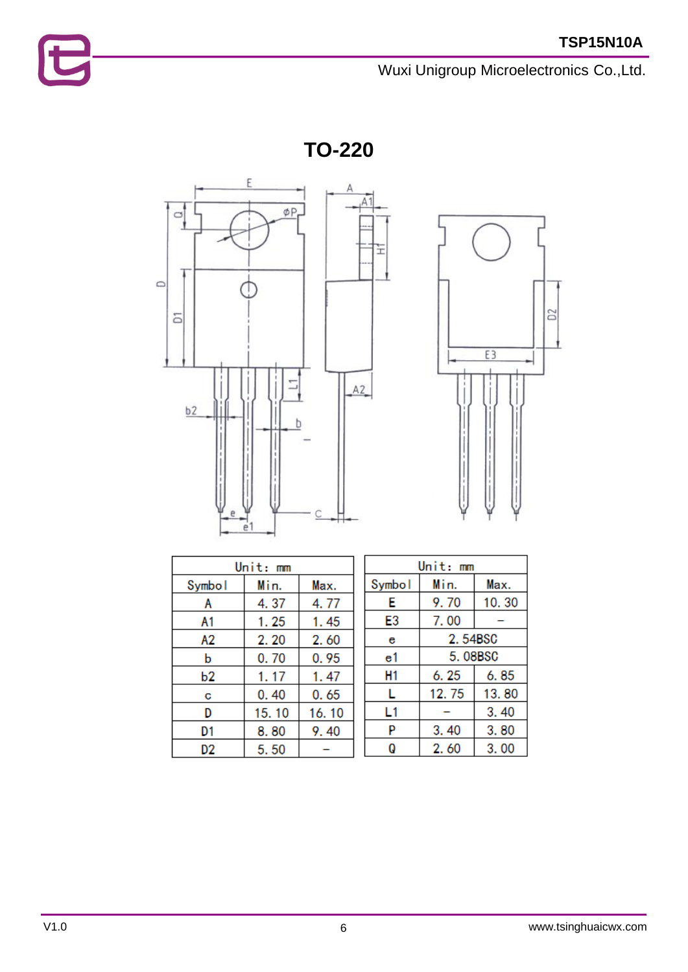**TO-220**





| Unit: mm |       |       |  |  |  |
|----------|-------|-------|--|--|--|
| Symbol   | Min.  | Max.  |  |  |  |
| A        | 4.37  | 4.77  |  |  |  |
| A1       | 1.25  | 1.45  |  |  |  |
| А2       | 2.20  | 2.60  |  |  |  |
| b        | 0.70  | 0.95  |  |  |  |
| b2       | 1.17  | 1.47  |  |  |  |
| С        | 0.40  | 0.65  |  |  |  |
| D        | 15.10 | 16.10 |  |  |  |
| D1       | 8.80  | 9.40  |  |  |  |
| D2       | 5.50  |       |  |  |  |

| Unit: mm |         |       |  |  |
|----------|---------|-------|--|--|
| Symbol   | Min.    | Max.  |  |  |
| Е        | 9.70    | 10.30 |  |  |
| E3       | 7.00    |       |  |  |
| е        | 2.54BSC |       |  |  |
| e1       | 5.08BSC |       |  |  |
| H1       | 6.25    | 6.85  |  |  |
| L        | 12.75   | 13.80 |  |  |
| L1       |         | 3.40  |  |  |
| P        | 3.40    | 3.80  |  |  |
| Q        | 2.60    | 3.00  |  |  |

E